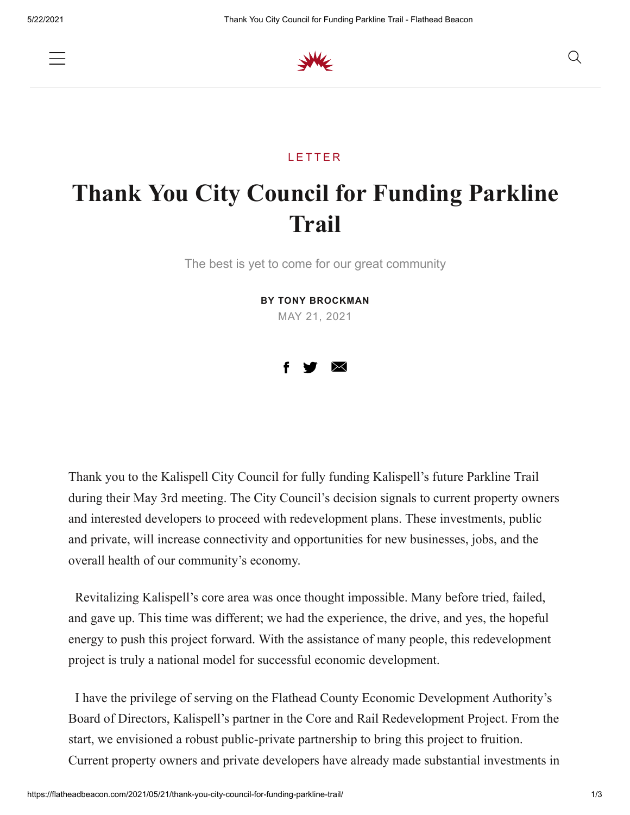



## **LETTER**

## **Thank You City Council for Funding Parkline Trail**

The best is yet to come for our great community

**BY TONY BROCKMAN**

MAY 21, 2021



Thank you to the Kalispell City Council for fully funding Kalispell's future Parkline Trail during their May 3rd meeting. The City Council's decision signals to current property owners and interested developers to proceed with redevelopment plans. These investments, public and private, will increase connectivity and opportunities for new businesses, jobs, and the overall health of our community's economy.

 Revitalizing Kalispell's core area was once thought impossible. Many before tried, failed, and gave up. This time was different; we had the experience, the drive, and yes, the hopeful energy to push this project forward. With the assistance of many people, this redevelopment project is truly a national model for successful economic development.

 I have the privilege of serving on the Flathead County Economic Development Authority's Board of Directors, Kalispell's partner in the Core and Rail Redevelopment Project. From the start, we envisioned a robust public-private partnership to bring this project to fruition. Current property owners and private developers have already made substantial investments in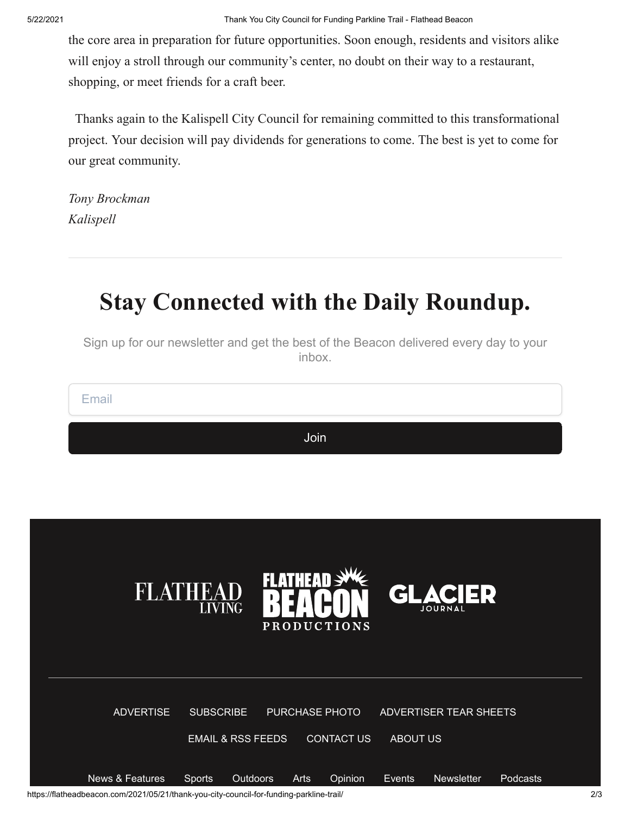the core area in preparation for future opportunities. Soon enough, residents and visitors alike will enjoy a stroll through our community's center, no doubt on their way to a restaurant, shopping, or meet friends for a craft beer.

 Thanks again to the Kalispell City Council for remaining committed to this transformational project. Your decision will pay dividends for generations to come. The best is yet to come for our great community.

*Tony Brockman Kalispell*

## **Stay Connected with the Daily Roundup.**

Sign up for our newsletter and get the best of the Beacon delivered every day to your inbox.

Email

Join



https://flatheadbeacon.com/2021/05/21/thank-you-city-council-for-funding-parkline-trail/ 2/3